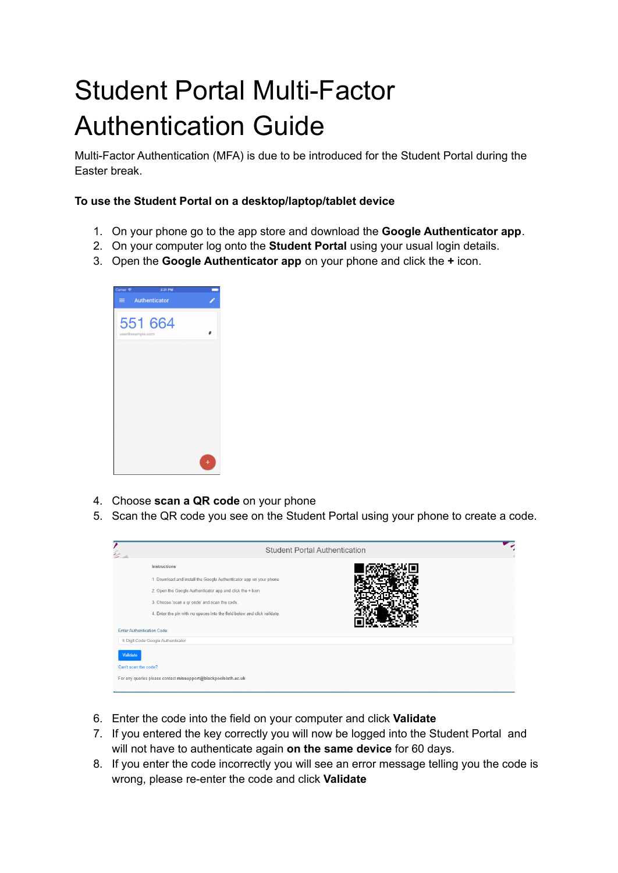## Student Portal Multi-Factor Authentication Guide

Multi-Factor Authentication (MFA) is due to be introduced for the Student Portal during the Easter break.

## **To use the Student Portal on a desktop/laptop/tablet device**

- 1. On your phone go to the app store and download the **Google Authenticator app**.
- 2. On your computer log onto the **Student Portal** using your usual login details.
- 3. Open the **Google Authenticator app** on your phone and click the **+** icon.



- 4. Choose **scan a QR code** on your phone
- 5. Scan the QR code you see on the Student Portal using your phone to create a code.



- 6. Enter the code into the field on your computer and click **Validate**
- 7. If you entered the key correctly you will now be logged into the Student Portal and will not have to authenticate again **on the same device** for 60 days.
- 8. If you enter the code incorrectly you will see an error message telling you the code is wrong, please re-enter the code and click **Validate**